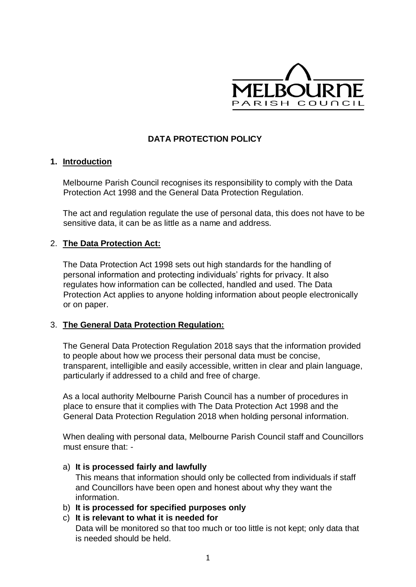

# **DATA PROTECTION POLICY**

### **1. Introduction**

Melbourne Parish Council recognises its responsibility to comply with the Data Protection Act 1998 and the General Data Protection Regulation.

The act and regulation regulate the use of personal data, this does not have to be sensitive data, it can be as little as a name and address.

### 2. **The Data Protection Act:**

The Data Protection Act 1998 sets out high standards for the handling of personal information and protecting individuals' rights for privacy. It also regulates how information can be collected, handled and used. The Data Protection Act applies to anyone holding information about people electronically or on paper.

### 3. **The General Data Protection Regulation:**

The General Data Protection Regulation 2018 says that the information provided to people about how we process their personal data must be concise, transparent, intelligible and easily accessible, written in clear and plain language, particularly if addressed to a child and free of charge.

As a local authority Melbourne Parish Council has a number of procedures in place to ensure that it complies with The Data Protection Act 1998 and the General Data Protection Regulation 2018 when holding personal information.

When dealing with personal data, Melbourne Parish Council staff and Councillors must ensure that: -

### a) **It is processed fairly and lawfully**

This means that information should only be collected from individuals if staff and Councillors have been open and honest about why they want the information.

b) **It is processed for specified purposes only** 

# c) **It is relevant to what it is needed for**

Data will be monitored so that too much or too little is not kept; only data that is needed should be held.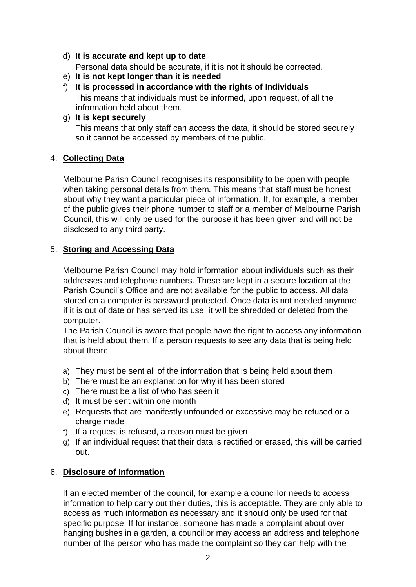d) **It is accurate and kept up to date**

Personal data should be accurate, if it is not it should be corrected.

- e) **It is not kept longer than it is needed**
- f) **It is processed in accordance with the rights of Individuals**  This means that individuals must be informed, upon request, of all the information held about them.
- g) **It is kept securely**

This means that only staff can access the data, it should be stored securely so it cannot be accessed by members of the public.

## 4. **Collecting Data**

Melbourne Parish Council recognises its responsibility to be open with people when taking personal details from them. This means that staff must be honest about why they want a particular piece of information. If, for example, a member of the public gives their phone number to staff or a member of Melbourne Parish Council, this will only be used for the purpose it has been given and will not be disclosed to any third party.

## 5. **Storing and Accessing Data**

Melbourne Parish Council may hold information about individuals such as their addresses and telephone numbers. These are kept in a secure location at the Parish Council's Office and are not available for the public to access. All data stored on a computer is password protected. Once data is not needed anymore, if it is out of date or has served its use, it will be shredded or deleted from the computer.

The Parish Council is aware that people have the right to access any information that is held about them. If a person requests to see any data that is being held about them:

- a) They must be sent all of the information that is being held about them
- b) There must be an explanation for why it has been stored
- c) There must be a list of who has seen it
- d) It must be sent within one month
- e) Requests that are manifestly unfounded or excessive may be refused or a charge made
- f) If a request is refused, a reason must be given
- g) If an individual request that their data is rectified or erased, this will be carried out.

# 6. **Disclosure of Information**

If an elected member of the council, for example a councillor needs to access information to help carry out their duties, this is acceptable. They are only able to access as much information as necessary and it should only be used for that specific purpose. If for instance, someone has made a complaint about over hanging bushes in a garden, a councillor may access an address and telephone number of the person who has made the complaint so they can help with the